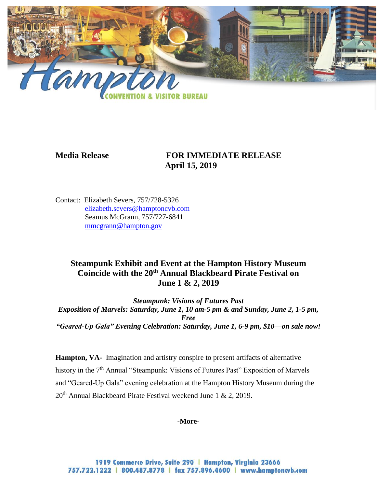

# **Media Release FOR IMMEDIATE RELEASE April 15, 2019**

Contact: Elizabeth Severs, 757/728-5326 [elizabeth.severs@hamptoncvb.com](mailto:elizabeth.severs@hamptoncvb.com) Seamus McGrann, 757/727-6841 [mmcgrann@hampton.gov](mailto:mmcgrann@hampton.gov)

## **Steampunk Exhibit and Event at the Hampton History Museum Coincide with the 20th Annual Blackbeard Pirate Festival on June 1 & 2, 2019**

*Steampunk: Visions of Futures Past Exposition of Marvels: Saturday, June 1, 10 am-5 pm & and Sunday, June 2, 1-5 pm, Free "Geared-Up Gala" Evening Celebration: Saturday, June 1, 6-9 pm, \$10—on sale now!*

**Hampton, VA-**–Imagination and artistry conspire to present artifacts of alternative history in the 7<sup>th</sup> Annual "Steampunk: Visions of Futures Past" Exposition of Marvels and "Geared-Up Gala" evening celebration at the Hampton History Museum during the  $20<sup>th</sup>$  Annual Blackbeard Pirate Festival weekend June 1 & 2, 2019.

## **-More-**

1919 Commerce Drive, Suite 290 | Hampton, Virginia 23666 757.722.1222 | 800.487.8778 | fax 757.896.4600 | www.hamptoncvb.com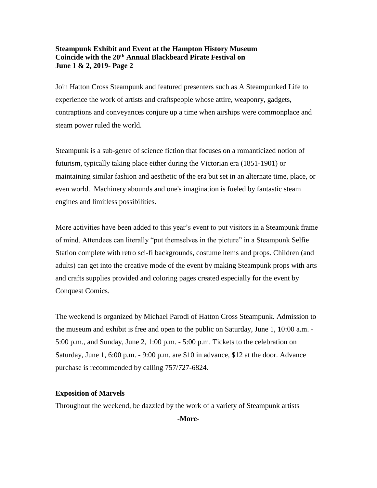#### **Steampunk Exhibit and Event at the Hampton History Museum Coincide with the 20th Annual Blackbeard Pirate Festival on June 1 & 2, 2019- Page 2**

Join Hatton Cross Steampunk and featured presenters such as A Steampunked Life to experience the work of artists and craftspeople whose attire, weaponry, gadgets, contraptions and conveyances conjure up a time when airships were commonplace and steam power ruled the world.

Steampunk is a sub-genre of science fiction that focuses on a romanticized notion of futurism, typically taking place either during the Victorian era (1851-1901) or maintaining similar fashion and aesthetic of the era but set in an alternate time, place, or even world. Machinery abounds and one's imagination is fueled by fantastic steam engines and limitless possibilities.

More activities have been added to this year's event to put visitors in a Steampunk frame of mind. Attendees can literally "put themselves in the picture" in a Steampunk Selfie Station complete with retro sci-fi backgrounds, costume items and props. Children (and adults) can get into the creative mode of the event by making Steampunk props with arts and crafts supplies provided and coloring pages created especially for the event by Conquest Comics.

The weekend is organized by Michael Parodi of Hatton Cross Steampunk. Admission to the museum and exhibit is free and open to the public on Saturday, June 1, 10:00 a.m. - 5:00 p.m., and Sunday, June 2, 1:00 p.m. - 5:00 p.m. Tickets to the celebration on Saturday, June 1, 6:00 p.m. - 9:00 p.m. are \$10 in advance, \$12 at the door. Advance purchase is recommended by calling 757/727-6824.

## **Exposition of Marvels**

Throughout the weekend, be dazzled by the work of a variety of Steampunk artists

**-More-**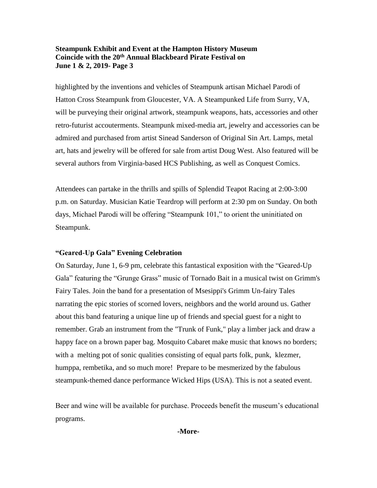#### **Steampunk Exhibit and Event at the Hampton History Museum Coincide with the 20th Annual Blackbeard Pirate Festival on June 1 & 2, 2019- Page 3**

highlighted by the inventions and vehicles of Steampunk artisan Michael Parodi of Hatton Cross Steampunk from Gloucester, VA. A Steampunked Life from Surry, VA, will be purveying their original artwork, steampunk weapons, hats, accessories and other retro-futurist accouterments. Steampunk mixed-media art, jewelry and accessories can be admired and purchased from artist Sinead Sanderson of Original Sin Art. Lamps, metal art, hats and jewelry will be offered for sale from artist Doug West. Also featured will be several authors from Virginia-based HCS Publishing, as well as Conquest Comics.

Attendees can partake in the thrills and spills of Splendid Teapot Racing at 2:00-3:00 p.m. on Saturday. Musician Katie Teardrop will perform at 2:30 pm on Sunday. On both days, Michael Parodi will be offering "Steampunk 101," to orient the uninitiated on Steampunk.

## **"Geared-Up Gala" Evening Celebration**

On Saturday, June 1, 6-9 pm, celebrate this fantastical exposition with the "Geared-Up Gala" featuring the "Grunge Grass" music of Tornado Bait in a musical twist on Grimm's Fairy Tales. Join the band for a presentation of Msesippi's Grimm Un-fairy Tales narrating the epic stories of scorned lovers, neighbors and the world around us. Gather about this band featuring a unique line up of friends and special guest for a night to remember. Grab an instrument from the "Trunk of Funk," play a limber jack and draw a happy face on a brown paper bag. Mosquito Cabaret make music that knows no borders; with a melting pot of sonic qualities consisting of equal parts folk, punk, klezmer, humppa, rembetika, and so much more! Prepare to be mesmerized by the fabulous steampunk-themed dance performance Wicked Hips (USA). This is not a seated event.

Beer and wine will be available for purchase. Proceeds benefit the museum's educational programs.

**-More-**